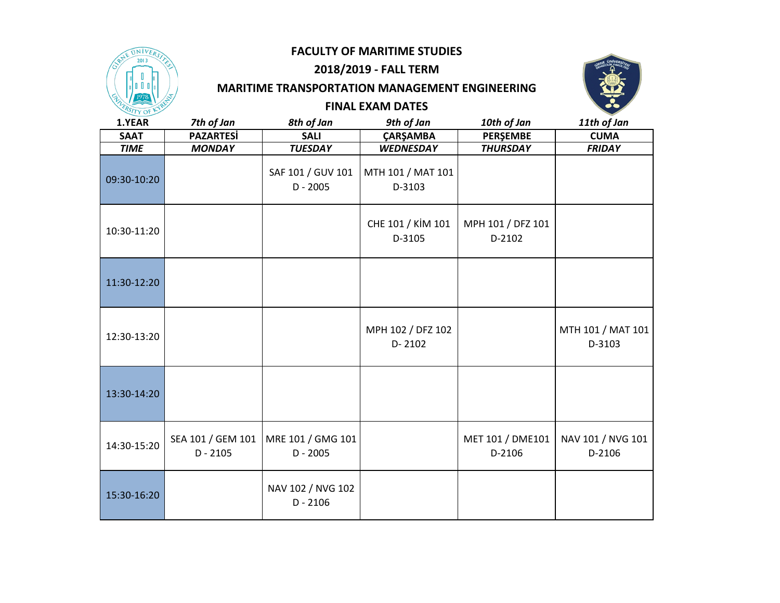

# **2018/2019 - FALL TERM**

#### **MARITIME TRANSPORTATION MANAGEMENT ENGINEERING**



#### **FINAL EXAM DATES**

| 1.YEAR      | 7th of Jan                      | 8th of Jan                      | 9th of Jan                      | 10th of Jan                 | 11th of Jan                 |
|-------------|---------------------------------|---------------------------------|---------------------------------|-----------------------------|-----------------------------|
| <b>SAAT</b> | <b>PAZARTESİ</b>                | <b>SALI</b>                     | ÇARŞAMBA                        | PERŞEMBE                    | <b>CUMA</b>                 |
| <b>TIME</b> | <b>MONDAY</b>                   | <b>TUESDAY</b>                  | <b>WEDNESDAY</b>                | <b>THURSDAY</b>             | <b>FRIDAY</b>               |
| 09:30-10:20 |                                 | SAF 101 / GUV 101<br>$D - 2005$ | MTH 101 / MAT 101<br>D-3103     |                             |                             |
| 10:30-11:20 |                                 |                                 | CHE 101 / KİM 101<br>D-3105     | MPH 101 / DFZ 101<br>D-2102 |                             |
| 11:30-12:20 |                                 |                                 |                                 |                             |                             |
| 12:30-13:20 |                                 |                                 | MPH 102 / DFZ 102<br>$D - 2102$ |                             | MTH 101 / MAT 101<br>D-3103 |
| 13:30-14:20 |                                 |                                 |                                 |                             |                             |
| 14:30-15:20 | SEA 101 / GEM 101<br>$D - 2105$ | MRE 101 / GMG 101<br>$D - 2005$ |                                 | MET 101 / DME101<br>D-2106  | NAV 101 / NVG 101<br>D-2106 |
| 15:30-16:20 |                                 | NAV 102 / NVG 102<br>$D - 2106$ |                                 |                             |                             |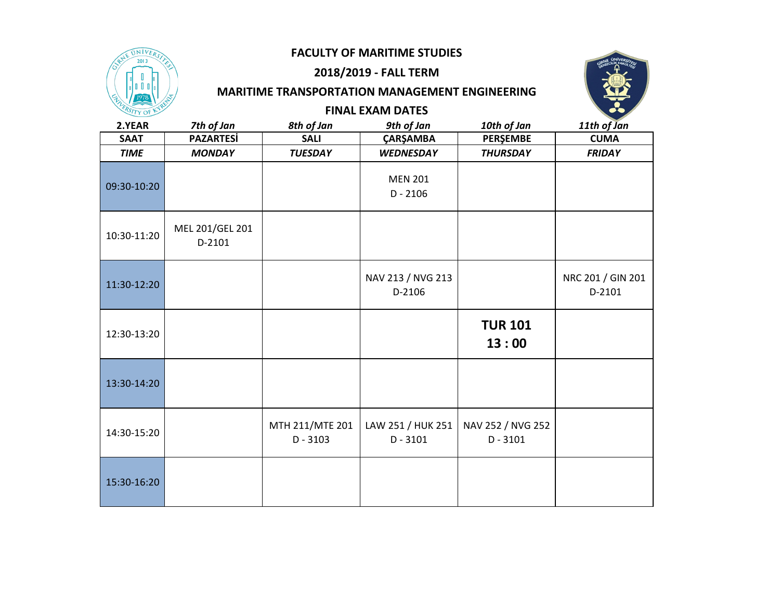

## **2018/2019 - FALL TERM**

## **MARITIME TRANSPORTATION MANAGEMENT ENGINEERING FINAL EXAM DATES**



| 2.YEAR      | 7th of Jan                | 8th of Jan                    | 9th of Jan                      | 10th of Jan                     | 11th of Jan                 |
|-------------|---------------------------|-------------------------------|---------------------------------|---------------------------------|-----------------------------|
| <b>SAAT</b> | <b>PAZARTESİ</b>          | <b>SALI</b>                   | ÇARŞAMBA                        | <b>PERŞEMBE</b>                 | <b>CUMA</b>                 |
| <b>TIME</b> | <b>MONDAY</b>             | <b>TUESDAY</b>                | <b>WEDNESDAY</b>                | <b>THURSDAY</b>                 | <b>FRIDAY</b>               |
| 09:30-10:20 |                           |                               | <b>MEN 201</b><br>$D - 2106$    |                                 |                             |
| 10:30-11:20 | MEL 201/GEL 201<br>D-2101 |                               |                                 |                                 |                             |
| 11:30-12:20 |                           |                               | NAV 213 / NVG 213<br>D-2106     |                                 | NRC 201 / GIN 201<br>D-2101 |
| 12:30-13:20 |                           |                               |                                 | <b>TUR 101</b><br>13:00         |                             |
| 13:30-14:20 |                           |                               |                                 |                                 |                             |
| 14:30-15:20 |                           | MTH 211/MTE 201<br>$D - 3103$ | LAW 251 / HUK 251<br>$D - 3101$ | NAV 252 / NVG 252<br>$D - 3101$ |                             |
| 15:30-16:20 |                           |                               |                                 |                                 |                             |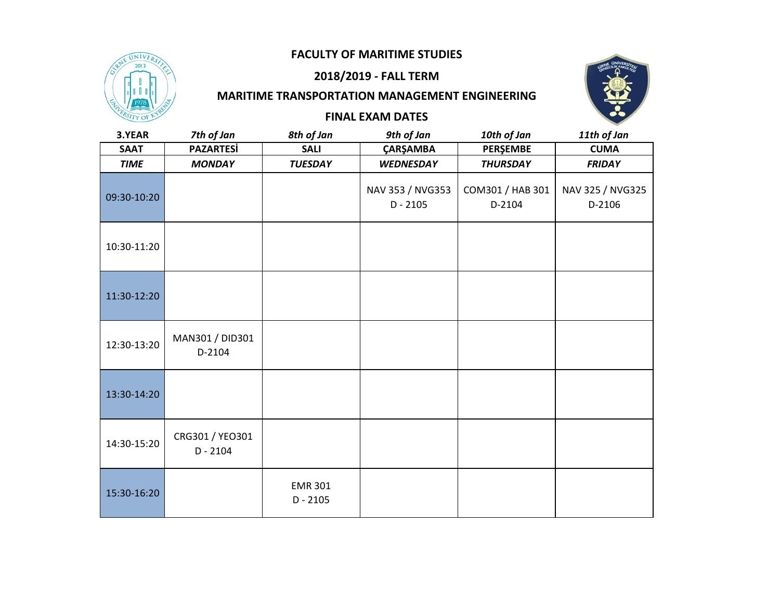

15:30-16:20

#### **2018/2019 - FALL TERM**

### **MARITIME TRANSPORTATION MANAGEMENT ENGINEERING**

**FINAL EXAM DATES**



| 3.YEAR      | 7th of Jan                    | 8th of Jan     | 9th of Jan                     | 10th of Jan                | 11th of Jan                |
|-------------|-------------------------------|----------------|--------------------------------|----------------------------|----------------------------|
| <b>SAAT</b> | <b>PAZARTESi</b>              | <b>SALI</b>    | ÇARŞAMBA                       | <b>PERŞEMBE</b>            | <b>CUMA</b>                |
| <b>TIME</b> | <b>MONDAY</b>                 | <b>TUESDAY</b> | <b>WEDNESDAY</b>               | <b>THURSDAY</b>            | <b>FRIDAY</b>              |
| 09:30-10:20 |                               |                | NAV 353 / NVG353<br>$D - 2105$ | COM301 / HAB 301<br>D-2104 | NAV 325 / NVG325<br>D-2106 |
| 10:30-11:20 |                               |                |                                |                            |                            |
| 11:30-12:20 |                               |                |                                |                            |                            |
| 12:30-13:20 | MAN301 / DID301<br>D-2104     |                |                                |                            |                            |
| 13:30-14:20 |                               |                |                                |                            |                            |
| 14:30-15:20 | CRG301 / YEO301<br>$D - 2104$ |                |                                |                            |                            |
|             |                               |                |                                |                            |                            |

EMR 301 D - 2105